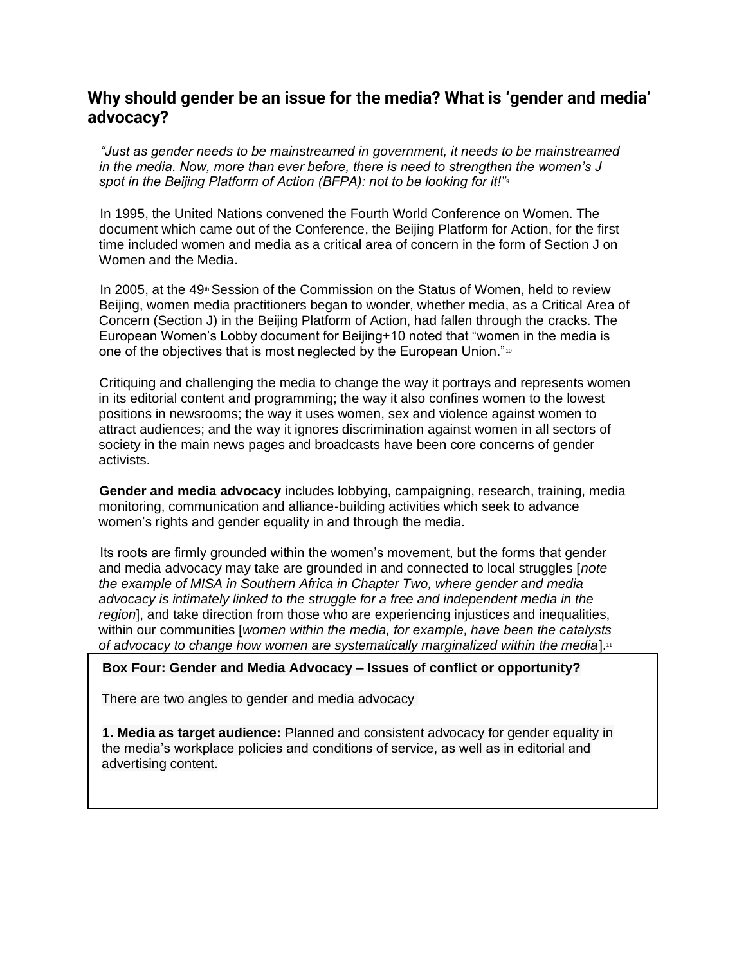# **[W](https://whomakesthenews.org/wp-content/uploads/2021/12/Why-should-gender-be-an-issue-for-the-media-What-is-‘gender-and-media-advocacy.pdf)hy should gender be an issue for the media? What is 'gender and media' advocacy?**

*"Just as gender needs to be mainstreamed in government, it needs to be mainstreamed in the media. Now, more than ever before, there is need to strengthen the women's J spot in the Beijing Platform of Action (BFPA): not to be looking for it!"<sup>9</sup>*

In 1995, the United Nations convened the Fourth World Conference on Women. The document which came out of the Conference, the Beijing Platform for Action, for the first time included women and media as a critical area of concern in the form of Section J on Women and the Media.

In 2005, at the  $49<sup>th</sup>$  Session of the Commission on the Status of Women, held to review Beijing, women media practitioners began to wonder, whether media, as a Critical Area of Concern (Section J) in the Beijing Platform of Action, had fallen through the cracks. The European Women's Lobby document for Beijing+10 noted that "women in the media is one of the objectives that is most neglected by the European Union."<sup>10</sup>

Critiquing and challenging the media to change the way it portrays and represents women in its editorial content and programming; the way it also confines women to the lowest positions in newsrooms; the way it uses women, sex and violence against women to attract audiences; and the way it ignores discrimination against women in all sectors of society in the main news pages and broadcasts have been core concerns of gender activists.

**Gender and media advocacy** includes lobbying, campaigning, research, training, media monitoring, communication and alliance-building activities which seek to advance women's rights and gender equality in and through the media.

Its roots are firmly grounded within the women's movement, but the forms that gender and media advocacy may take are grounded in and connected to local struggles [*note the example of MISA in Southern Africa in Chapter Two, where gender and media advocacy is intimately linked to the struggle for a free and independent media in the region*], and take direction from those who are experiencing injustices and inequalities, within our communities [*women within the media, for example, have been the catalysts*  of advocacy to change how women are systematically marginalized within the media].<sup>11</sup>

#### **Box Four: Gender and Media Advocacy – Issues of conflict or opportunity?**

There are two angles to gender and media advocacy

**1. Media as target audience:** Planned and consistent advocacy for gender equality in the media's workplace policies and conditions of service, as well as in editorial and advertising content.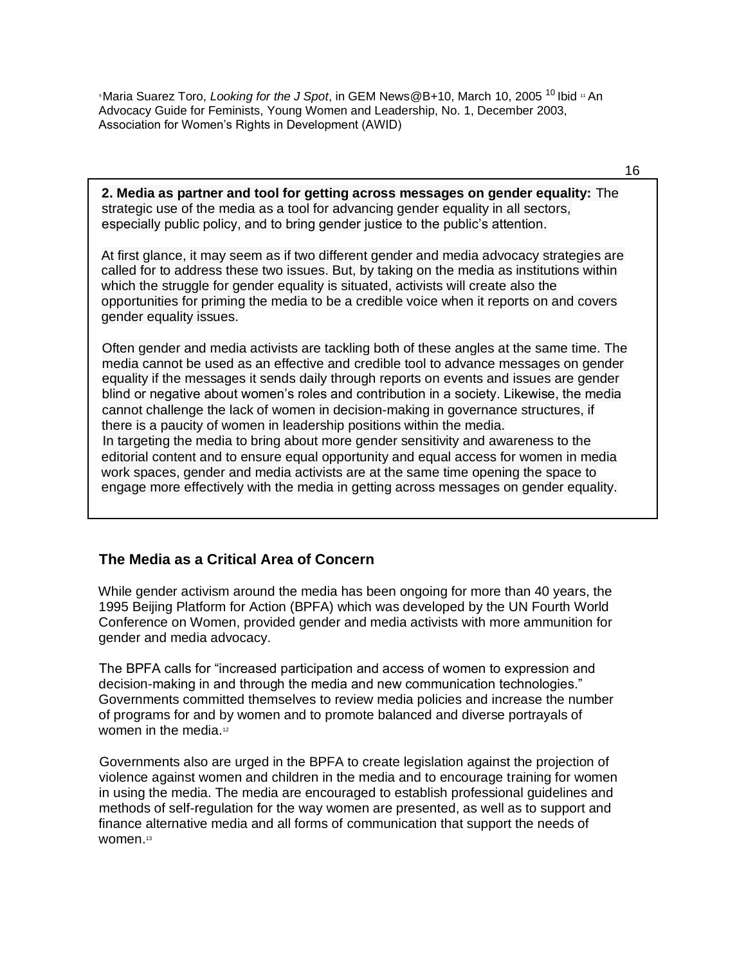<sup>9</sup>Maria Suarez Toro, *Looking for the J Spot*, in GEM News@B+10, March 10, 2005 <sup>10</sup> Ibid <sup>11</sup> An Advocacy Guide for Feminists, Young Women and Leadership, No. 1, December 2003, Association for Women's Rights in Development (AWID)

16

**2. Media as partner and tool for getting across messages on gender equality:** The strategic use of the media as a tool for advancing gender equality in all sectors, especially public policy, and to bring gender justice to the public's attention.

At first glance, it may seem as if two different gender and media advocacy strategies are called for to address these two issues. But, by taking on the media as institutions within which the struggle for gender equality is situated, activists will create also the opportunities for priming the media to be a credible voice when it reports on and covers gender equality issues.

Often gender and media activists are tackling both of these angles at the same time. The media cannot be used as an effective and credible tool to advance messages on gender equality if the messages it sends daily through reports on events and issues are gender blind or negative about women's roles and contribution in a society. Likewise, the media cannot challenge the lack of women in decision-making in governance structures, if there is a paucity of women in leadership positions within the media. In targeting the media to bring about more gender sensitivity and awareness to the editorial content and to ensure equal opportunity and equal access for women in media work spaces, gender and media activists are at the same time opening the space to

engage more effectively with the media in getting across messages on gender equality.

# **The Media as a Critical Area of Concern**

While gender activism around the media has been ongoing for more than 40 years, the 1995 Beijing Platform for Action (BPFA) which was developed by the UN Fourth World Conference on Women, provided gender and media activists with more ammunition for gender and media advocacy.

The BPFA calls for "increased participation and access of women to expression and decision-making in and through the media and new communication technologies." Governments committed themselves to review media policies and increase the number of programs for and by women and to promote balanced and diverse portrayals of women in the media.<sup>12</sup>

Governments also are urged in the BPFA to create legislation against the projection of violence against women and children in the media and to encourage training for women in using the media. The media are encouraged to establish professional guidelines and methods of self-regulation for the way women are presented, as well as to support and finance alternative media and all forms of communication that support the needs of women.13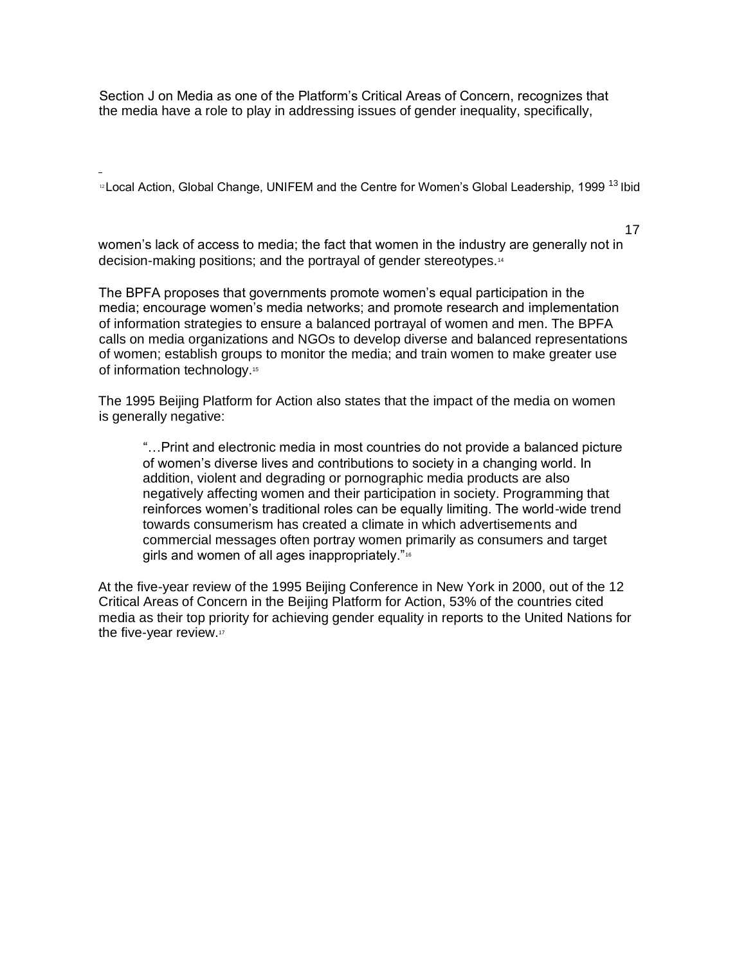Section J on Media as one of the Platform's Critical Areas of Concern, recognizes that the media have a role to play in addressing issues of gender inequality, specifically,

<sup>12</sup> Local Action, Global Change, UNIFEM and the Centre for Women's Global Leadership, 1999 <sup>13</sup> Ibid

17

women's lack of access to media; the fact that women in the industry are generally not in decision-making positions; and the portrayal of gender stereotypes.<sup>14</sup>

The BPFA proposes that governments promote women's equal participation in the media; encourage women's media networks; and promote research and implementation of information strategies to ensure a balanced portrayal of women and men. The BPFA calls on media organizations and NGOs to develop diverse and balanced representations of women; establish groups to monitor the media; and train women to make greater use of information technology.<sup>15</sup>

The 1995 Beijing Platform for Action also states that the impact of the media on women is generally negative:

"…Print and electronic media in most countries do not provide a balanced picture of women's diverse lives and contributions to society in a changing world. In addition, violent and degrading or pornographic media products are also negatively affecting women and their participation in society. Programming that reinforces women's traditional roles can be equally limiting. The world-wide trend towards consumerism has created a climate in which advertisements and commercial messages often portray women primarily as consumers and target girls and women of all ages inappropriately."<sup>16</sup>

At the five-year review of the 1995 Beijing Conference in New York in 2000, out of the 12 Critical Areas of Concern in the Beijing Platform for Action, 53% of the countries cited media as their top priority for achieving gender equality in reports to the United Nations for the five-year review.<sup>17</sup>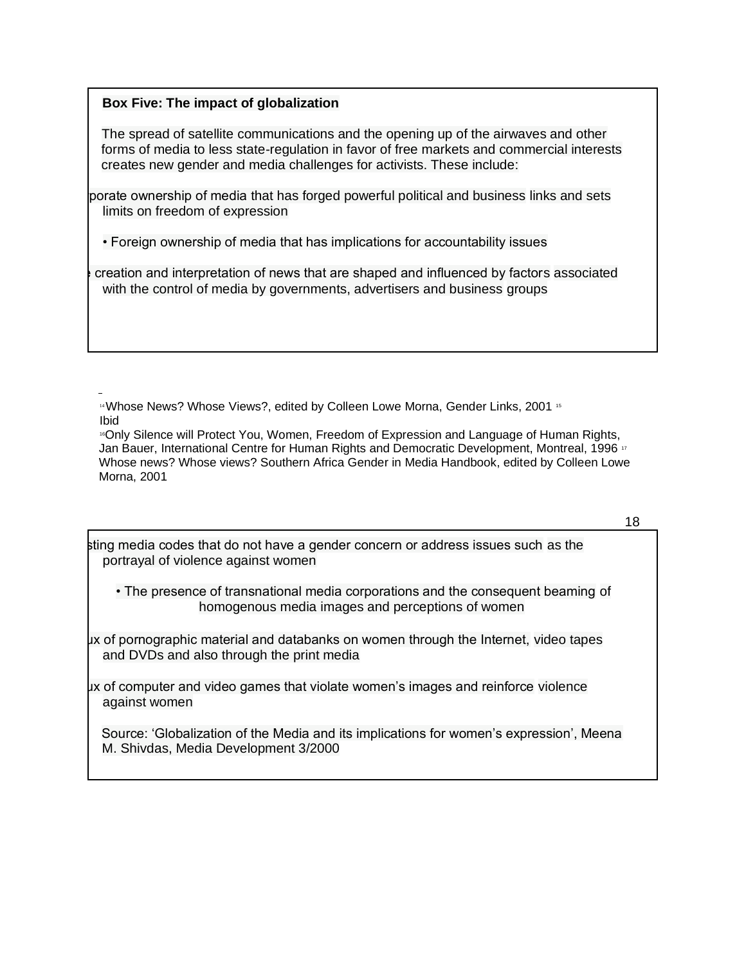## **Box Five: The impact of globalization**

The spread of satellite communications and the opening up of the airwaves and other forms of media to less state-regulation in favor of free markets and commercial interests creates new gender and media challenges for activists. These include:

porate ownership of media that has forged powerful political and business links and sets limits on freedom of expression

• Foreign ownership of media that has implications for accountability issues

creation and interpretation of news that are shaped and influenced by factors associated with the control of media by governments, advertisers and business groups

<sup>14</sup> Whose News? Whose Views?, edited by Colleen Lowe Morna, Gender Links, 2001 15 Ibid

<sup>16</sup>Only Silence will Protect You, Women, Freedom of Expression and Language of Human Rights, Jan Bauer, International Centre for Human Rights and Democratic Development, Montreal, 1996<sup>17</sup> Whose news? Whose views? Southern Africa Gender in Media Handbook, edited by Colleen Lowe Morna, 2001

18

• Existing media codes that do not have a gender concern or address issues such as the portrayal of violence against women

• The presence of transnational media corporations and the consequent beaming of homogenous media images and perceptions of women

ux of pornographic material and databanks on women through the Internet, video tapes and DVDs and also through the print media

 $\mu$ x of computer and video games that violate women's images and reinforce violence against women

Source: 'Globalization of the Media and its implications for women's expression', Meena M. Shivdas, Media Development 3/2000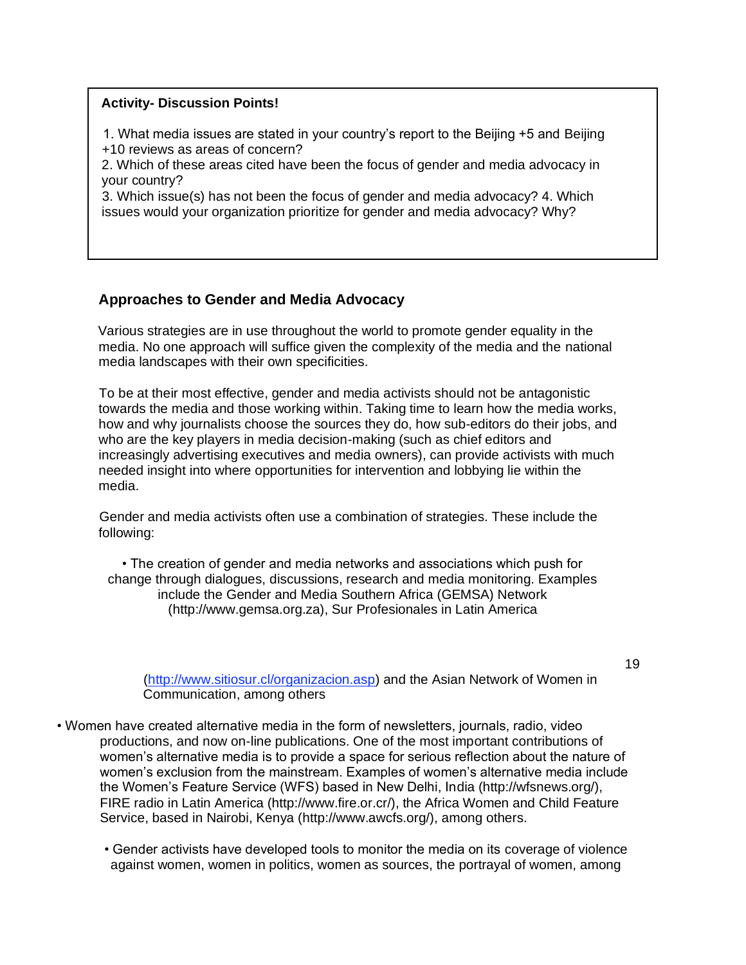#### **Activity- Discussion Points!**

1. What media issues are stated in your country's report to the Beijing +5 and Beijing +10 reviews as areas of concern?

2. Which of these areas cited have been the focus of gender and media advocacy in your country?

3. Which issue(s) has not been the focus of gender and media advocacy? 4. Which issues would your organization prioritize for gender and media advocacy? Why?

## **Approaches to Gender and Media Advocacy**

Various strategies are in use throughout the world to promote gender equality in the media. No one approach will suffice given the complexity of the media and the national media landscapes with their own specificities.

To be at their most effective, gender and media activists should not be antagonistic towards the media and those working within. Taking time to learn how the media works, how and why journalists choose the sources they do, how sub-editors do their jobs, and who are the key players in media decision-making (such as chief editors and increasingly advertising executives and media owners), can provide activists with much needed insight into where opportunities for intervention and lobbying lie within the media.

Gender and media activists often use a combination of strategies. These include the following:

• The creation of gender and media networks and associations which push for change through dialogues, discussions, research and media monitoring. Examples include the Gender and Media Southern Africa (GEMSA) Network (http://www.gemsa.org.za), Sur Profesionales in Latin America

(http://www.sitiosur.cl/organizacion.asp) and the Asian Network of Women in Communication, among others

- Women have created alternative media in the form of newsletters, journals, radio, video productions, and now on-line publications. One of the most important contributions of women's alternative media is to provide a space for serious reflection about the nature of women's exclusion from the mainstream. Examples of women's alternative media include the Women's Feature Service (WFS) based in New Delhi, India (http://wfsnews.org/), FIRE radio in Latin America (http://www.fire.or.cr/), the Africa Women and Child Feature Service, based in Nairobi, Kenya (http://www.awcfs.org/), among others.
	- Gender activists have developed tools to monitor the media on its coverage of violence against women, women in politics, women as sources, the portrayal of women, among

19